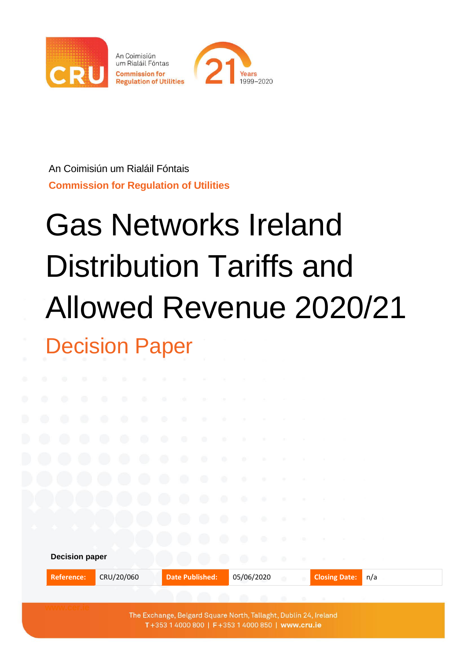

An Coimisiún um Rialáil Fóntais **Commission for Regulation of Utilities**

# Gas Networks Ireland Distribution Tariffs and Allowed Revenue 2020/21 Decision Paper

| D. | ۰         | O.                                            |            | ۰          | ۰          | ۰          | 顺                                                                                                                     | 14b                                                                                                                                                            | ٠                      |                                                                                                                                                                                                                                                                                                                                                                                              |                                                   |               |                   |             |                      |                |     |  |  |
|----|-----------|-----------------------------------------------|------------|------------|------------|------------|-----------------------------------------------------------------------------------------------------------------------|----------------------------------------------------------------------------------------------------------------------------------------------------------------|------------------------|----------------------------------------------------------------------------------------------------------------------------------------------------------------------------------------------------------------------------------------------------------------------------------------------------------------------------------------------------------------------------------------------|---------------------------------------------------|---------------|-------------------|-------------|----------------------|----------------|-----|--|--|
| D  | $\bullet$ | O                                             | ۰          | ۰          | $\bigcirc$ | ۰          |                                                                                                                       | $\begin{array}{c} \begin{array}{c} \begin{array}{c} \begin{array}{c} \begin{array}{c} \end{array} \end{array} \end{array} \end{array} \end{array} \end{array}$ |                        |                                                                                                                                                                                                                                                                                                                                                                                              |                                                   |               |                   |             |                      |                |     |  |  |
| D  | $\bullet$ | o                                             | $\bullet$  | $\bullet$  | $\bullet$  | $\bigcirc$ | $\begin{array}{c} \begin{array}{c} \begin{array}{c} \begin{array}{c} \end{array} \end{array} \end{array} \end{array}$ | $\sim$                                                                                                                                                         | $\blacksquare$         | - 10                                                                                                                                                                                                                                                                                                                                                                                         | n.                                                |               | $\mathcal{L}$     |             |                      |                |     |  |  |
|    | O         | $\left( \begin{array}{c} \end{array} \right)$ | $\bigcirc$ | $\bigcirc$ | $\bullet$  | $\bullet$  | $\bigcirc$                                                                                                            | $\circ$                                                                                                                                                        | $\circ$                | $\frac{1}{2} \frac{1}{2} \frac{1}{2} \frac{1}{2} \frac{1}{2} \frac{1}{2} \frac{1}{2} \frac{1}{2} \frac{1}{2} \frac{1}{2} \frac{1}{2} \frac{1}{2} \frac{1}{2} \frac{1}{2} \frac{1}{2} \frac{1}{2} \frac{1}{2} \frac{1}{2} \frac{1}{2} \frac{1}{2} \frac{1}{2} \frac{1}{2} \frac{1}{2} \frac{1}{2} \frac{1}{2} \frac{1}{2} \frac{1}{2} \frac{1}{2} \frac{1}{2} \frac{1}{2} \frac{1}{2} \frac{$ | ÷                                                 | ÷             |                   |             |                      |                |     |  |  |
|    |           |                                               |            | O          | $\bigcirc$ | $\bullet$  | $\bullet$                                                                                                             | $\circ$                                                                                                                                                        | ۰                      |                                                                                                                                                                                                                                                                                                                                                                                              | $\alpha$                                          |               | $\sim$            | - 10        |                      |                |     |  |  |
|    |           |                                               |            |            |            |            | $\bigcirc$                                                                                                            | $\bullet$                                                                                                                                                      | $\bigcirc$             | $\bigcirc$                                                                                                                                                                                                                                                                                                                                                                                   | - 10                                              | $\rightarrow$ | $\frac{1}{2}$     | $-10$       |                      |                |     |  |  |
|    |           |                                               |            |            |            |            | $\bigcirc$                                                                                                            | ۰                                                                                                                                                              | $\bullet$              | ۰                                                                                                                                                                                                                                                                                                                                                                                            | $\begin{array}{c} \bullet \\ \bullet \end{array}$ | VB.           | ÷                 |             |                      |                |     |  |  |
|    |           |                                               |            |            |            |            |                                                                                                                       | O                                                                                                                                                              | ۰                      | ۰                                                                                                                                                                                                                                                                                                                                                                                            | $\bigcirc$                                        |               | 19                | $100$       |                      |                |     |  |  |
|    |           | <b>Decision paper</b>                         |            |            |            |            |                                                                                                                       |                                                                                                                                                                | $\bigcirc$             | $\bullet$                                                                                                                                                                                                                                                                                                                                                                                    | $\bullet$                                         | $\bullet$     | $\oplus$          | 190         |                      |                |     |  |  |
|    |           | <b>Reference:</b>                             |            |            | CRU/20/060 |            |                                                                                                                       |                                                                                                                                                                | <b>Date Published:</b> |                                                                                                                                                                                                                                                                                                                                                                                              | 05/06/2020                                        |               | $\langle \rangle$ | $\sim$      | <b>Closing Date:</b> |                | n/a |  |  |
|    |           |                                               |            |            |            |            |                                                                                                                       |                                                                                                                                                                |                        |                                                                                                                                                                                                                                                                                                                                                                                              |                                                   |               | $-10$             | <b>STEP</b> | 38                   | <b>COLLEGE</b> |     |  |  |

The Exchange, Belgard Square North, Tallaght, Dublin 24, Ireland T+353 1 4000 800 | F+353 1 4000 850 | www.cru.ie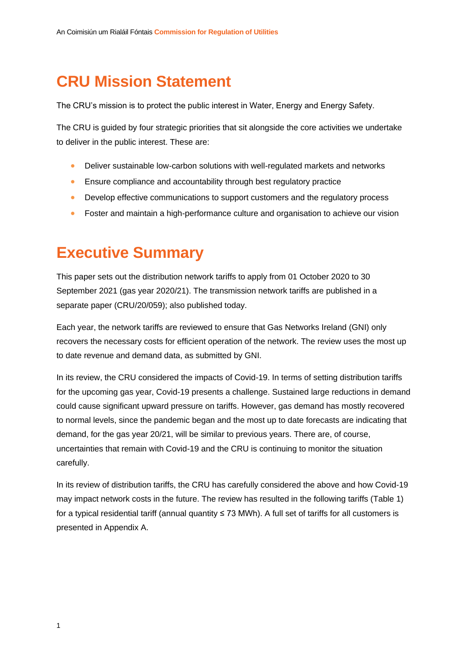## **CRU Mission Statement**

The CRU's mission is to protect the public interest in Water, Energy and Energy Safety.

The CRU is guided by four strategic priorities that sit alongside the core activities we undertake to deliver in the public interest. These are:

- Deliver sustainable low-carbon solutions with well-regulated markets and networks
- Ensure compliance and accountability through best regulatory practice
- Develop effective communications to support customers and the regulatory process
- Foster and maintain a high-performance culture and organisation to achieve our vision

### **Executive Summary**

This paper sets out the distribution network tariffs to apply from 01 October 2020 to 30 September 2021 (gas year 2020/21). The transmission network tariffs are published in a separate paper (CRU/20/059); also published today.

Each year, the network tariffs are reviewed to ensure that Gas Networks Ireland (GNI) only recovers the necessary costs for efficient operation of the network. The review uses the most up to date revenue and demand data, as submitted by GNI.

In its review, the CRU considered the impacts of Covid-19. In terms of setting distribution tariffs for the upcoming gas year, Covid-19 presents a challenge. Sustained large reductions in demand could cause significant upward pressure on tariffs. However, gas demand has mostly recovered to normal levels, since the pandemic began and the most up to date forecasts are indicating that demand, for the gas year 20/21, will be similar to previous years. There are, of course, uncertainties that remain with Covid-19 and the CRU is continuing to monitor the situation carefully.

In its review of distribution tariffs, the CRU has carefully considered the above and how Covid-19 may impact network costs in the future. The review has resulted in the following tariffs [\(Table 1\)](#page-2-0) for a typical residential tariff (annual quantity ≤ 73 MWh). A full set of tariffs for all customers is presented in Appendix A.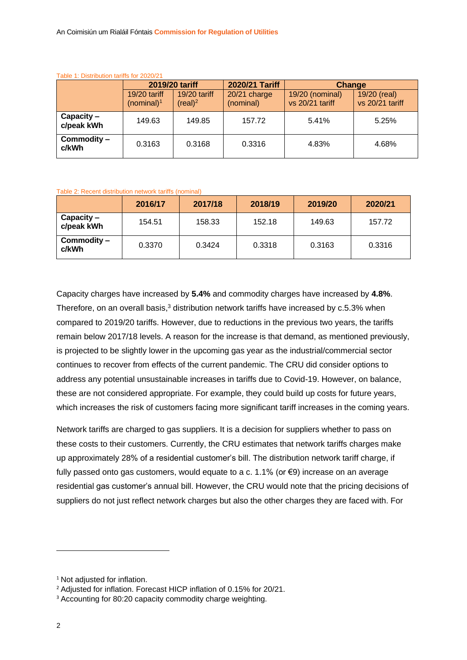| Table T. Distribution tanns for Z020/2T |                                 |                                       |                           |                                    |                                 |  |  |  |
|-----------------------------------------|---------------------------------|---------------------------------------|---------------------------|------------------------------------|---------------------------------|--|--|--|
|                                         |                                 | 2019/20 tariff                        | 2020/21 Tariff            | Change                             |                                 |  |  |  |
|                                         | $19/20$ tariff<br>(nominal) $1$ | $19/20$ tariff<br>(real) <sup>2</sup> | 20/21 charge<br>(nominal) | 19/20 (nominal)<br>vs 20/21 tariff | 19/20 (real)<br>vs 20/21 tariff |  |  |  |
| $Capacity -$<br>c/peak kWh              | 149.63                          | 149.85                                | 157.72                    | 5.41%                              | 5.25%                           |  |  |  |
| Commodity -<br>c/kWh                    | 0.3163                          | 0.3168                                | 0.3316                    | 4.83%                              | 4.68%                           |  |  |  |

#### <span id="page-2-0"></span>Table 1: Distribution tariffs for 2020/21

#### Table 2: Recent distribution network tariffs (nominal)

|                            | 2016/17 | 2017/18 | 2018/19 | 2019/20 | 2020/21 |
|----------------------------|---------|---------|---------|---------|---------|
| $Capacity -$<br>c/peak kWh | 154.51  | 158.33  | 152.18  | 149.63  | 157.72  |
| Commodity -<br>c/kWh       | 0.3370  | 0.3424  | 0.3318  | 0.3163  | 0.3316  |

Capacity charges have increased by **5.4%** and commodity charges have increased by **4.8%**. Therefore, on an overall basis, $3$  distribution network tariffs have increased by  $c.5.3\%$  when compared to 2019/20 tariffs. However, due to reductions in the previous two years, the tariffs remain below 2017/18 levels. A reason for the increase is that demand, as mentioned previously, is projected to be slightly lower in the upcoming gas year as the industrial/commercial sector continues to recover from effects of the current pandemic. The CRU did consider options to address any potential unsustainable increases in tariffs due to Covid-19. However, on balance, these are not considered appropriate. For example, they could build up costs for future years, which increases the risk of customers facing more significant tariff increases in the coming years.

Network tariffs are charged to gas suppliers. It is a decision for suppliers whether to pass on these costs to their customers. Currently, the CRU estimates that network tariffs charges make up approximately 28% of a residential customer's bill. The distribution network tariff charge, if fully passed onto gas customers, would equate to a c. 1.1% (or  $\epsilon$ 9) increase on an average residential gas customer's annual bill. However, the CRU would note that the pricing decisions of suppliers do not just reflect network charges but also the other charges they are faced with. For

<sup>&</sup>lt;sup>1</sup> Not adjusted for inflation.

<sup>&</sup>lt;sup>2</sup> Adjusted for inflation. Forecast HICP inflation of 0.15% for 20/21.

<sup>&</sup>lt;sup>3</sup> Accounting for 80:20 capacity commodity charge weighting.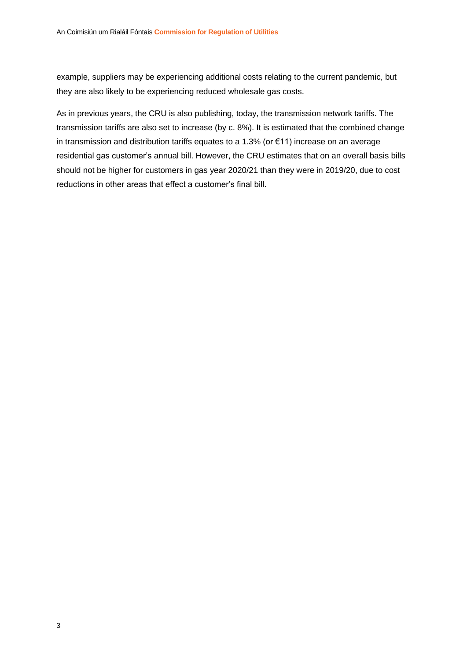example, suppliers may be experiencing additional costs relating to the current pandemic, but they are also likely to be experiencing reduced wholesale gas costs.

As in previous years, the CRU is also publishing, today, the transmission network tariffs. The transmission tariffs are also set to increase (by c. 8%). It is estimated that the combined change in transmission and distribution tariffs equates to a 1.3% (or €11) increase on an average residential gas customer's annual bill. However, the CRU estimates that on an overall basis bills should not be higher for customers in gas year 2020/21 than they were in 2019/20, due to cost reductions in other areas that effect a customer's final bill.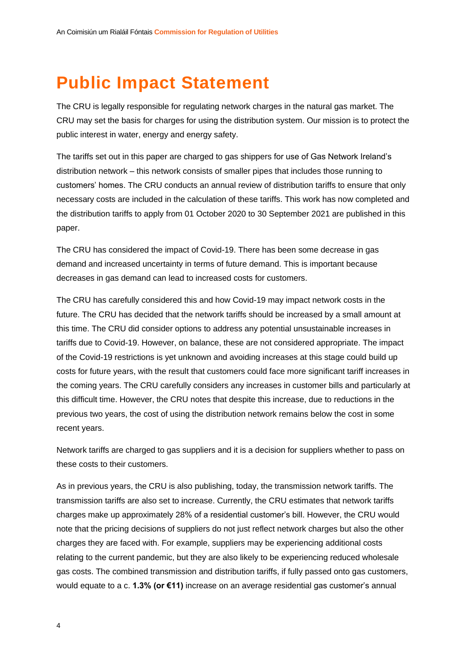# <span id="page-4-0"></span>**Public Impact Statement**

The CRU is legally responsible for regulating network charges in the natural gas market. The CRU may set the basis for charges for using the distribution system. Our mission is to protect the public interest in water, energy and energy safety.

The tariffs set out in this paper are charged to gas shippers for use of Gas Network Ireland's distribution network – this network consists of smaller pipes that includes those running to customers' homes. The CRU conducts an annual review of distribution tariffs to ensure that only necessary costs are included in the calculation of these tariffs. This work has now completed and the distribution tariffs to apply from 01 October 2020 to 30 September 2021 are published in this paper.

The CRU has considered the impact of Covid-19. There has been some decrease in gas demand and increased uncertainty in terms of future demand. This is important because decreases in gas demand can lead to increased costs for customers.

The CRU has carefully considered this and how Covid-19 may impact network costs in the future. The CRU has decided that the network tariffs should be increased by a small amount at this time. The CRU did consider options to address any potential unsustainable increases in tariffs due to Covid-19. However, on balance, these are not considered appropriate. The impact of the Covid-19 restrictions is yet unknown and avoiding increases at this stage could build up costs for future years, with the result that customers could face more significant tariff increases in the coming years. The CRU carefully considers any increases in customer bills and particularly at this difficult time. However, the CRU notes that despite this increase, due to reductions in the previous two years, the cost of using the distribution network remains below the cost in some recent years.

Network tariffs are charged to gas suppliers and it is a decision for suppliers whether to pass on these costs to their customers.

As in previous years, the CRU is also publishing, today, the transmission network tariffs. The transmission tariffs are also set to increase. Currently, the CRU estimates that network tariffs charges make up approximately 28% of a residential customer's bill. However, the CRU would note that the pricing decisions of suppliers do not just reflect network charges but also the other charges they are faced with. For example, suppliers may be experiencing additional costs relating to the current pandemic, but they are also likely to be experiencing reduced wholesale gas costs. The combined transmission and distribution tariffs, if fully passed onto gas customers, would equate to a c. **1.3% (or €11)** increase on an average residential gas customer's annual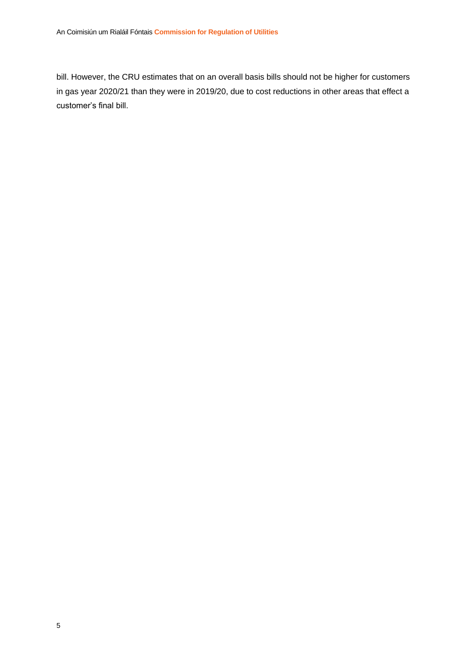bill. However, the CRU estimates that on an overall basis bills should not be higher for customers in gas year 2020/21 than they were in 2019/20, due to cost reductions in other areas that effect a customer's final bill.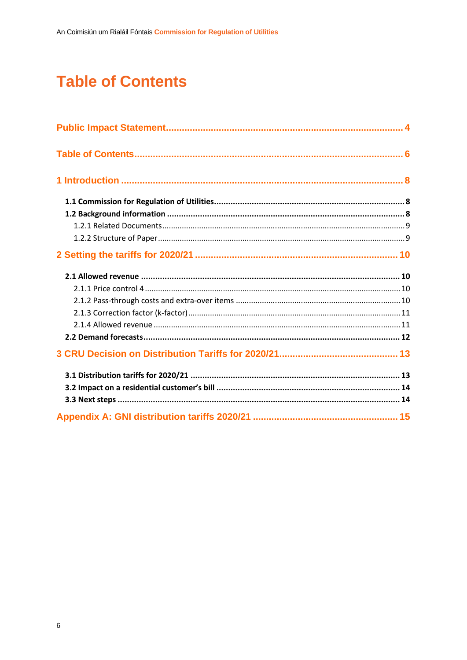# <span id="page-6-0"></span>**Table of Contents**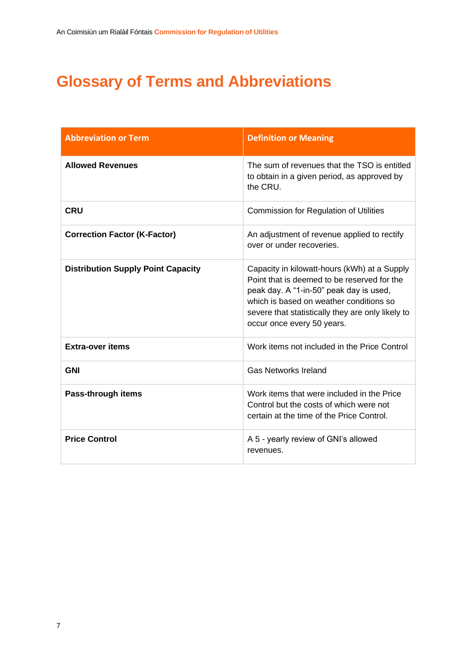# **Glossary of Terms and Abbreviations**

| <b>Abbreviation or Term</b>               | <b>Definition or Meaning</b>                                                                                                                                                                                                                                         |
|-------------------------------------------|----------------------------------------------------------------------------------------------------------------------------------------------------------------------------------------------------------------------------------------------------------------------|
| <b>Allowed Revenues</b>                   | The sum of revenues that the TSO is entitled<br>to obtain in a given period, as approved by<br>the CRU.                                                                                                                                                              |
| <b>CRU</b>                                | <b>Commission for Regulation of Utilities</b>                                                                                                                                                                                                                        |
| <b>Correction Factor (K-Factor)</b>       | An adjustment of revenue applied to rectify<br>over or under recoveries.                                                                                                                                                                                             |
| <b>Distribution Supply Point Capacity</b> | Capacity in kilowatt-hours (kWh) at a Supply<br>Point that is deemed to be reserved for the<br>peak day. A "1-in-50" peak day is used,<br>which is based on weather conditions so<br>severe that statistically they are only likely to<br>occur once every 50 years. |
| <b>Extra-over items</b>                   | Work items not included in the Price Control                                                                                                                                                                                                                         |
| <b>GNI</b>                                | <b>Gas Networks Ireland</b>                                                                                                                                                                                                                                          |
| Pass-through items                        | Work items that were included in the Price<br>Control but the costs of which were not<br>certain at the time of the Price Control.                                                                                                                                   |
| <b>Price Control</b>                      | A 5 - yearly review of GNI's allowed<br>revenues.                                                                                                                                                                                                                    |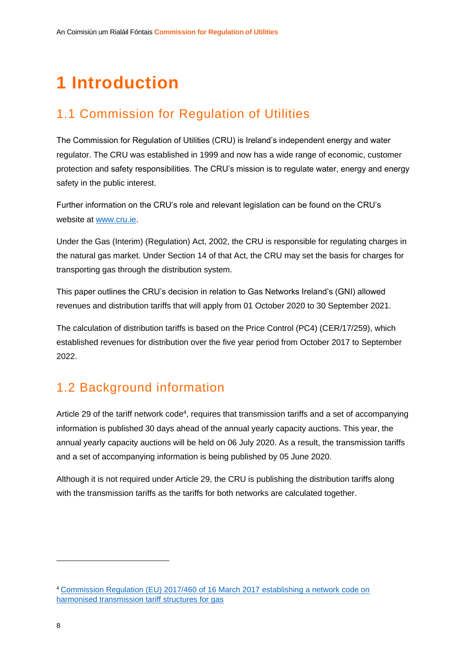# <span id="page-8-0"></span>**1 Introduction**

### <span id="page-8-1"></span>1.1 Commission for Regulation of Utilities

The Commission for Regulation of Utilities (CRU) is Ireland's independent energy and water regulator. The CRU was established in 1999 and now has a wide range of economic, customer protection and safety responsibilities. The CRU's mission is to regulate water, energy and energy safety in the public interest.

Further information on the CRU's role and relevant legislation can be found on the CRU's website at [www.cru.ie.](http://www.cru.ie/)

Under the Gas (Interim) (Regulation) Act, 2002, the CRU is responsible for regulating charges in the natural gas market. Under Section 14 of that Act, the CRU may set the basis for charges for transporting gas through the distribution system.

This paper outlines the CRU's decision in relation to Gas Networks Ireland's (GNI) allowed revenues and distribution tariffs that will apply from 01 October 2020 to 30 September 2021.

The calculation of distribution tariffs is based on the Price Control (PC4) (CER/17/259), which established revenues for distribution over the five year period from October 2017 to September 2022.

### <span id="page-8-2"></span>1.2 Background information

Article 29 of the tariff network code<sup>4</sup>, requires that transmission tariffs and a set of accompanying information is published 30 days ahead of the annual yearly capacity auctions. This year, the annual yearly capacity auctions will be held on 06 July 2020. As a result, the transmission tariffs and a set of accompanying information is being published by 05 June 2020.

Although it is not required under Article 29, the CRU is publishing the distribution tariffs along with the transmission tariffs as the tariffs for both networks are calculated together.

<sup>4</sup> [Commission Regulation \(EU\) 2017/460 of 16 March 2017 establishing a network code on](https://eur-lex.europa.eu/legal-content/EN/TXT/PDF/?uri=CELEX:32017R0460&from=EN%29)  [harmonised transmission tariff structures for gas](https://eur-lex.europa.eu/legal-content/EN/TXT/PDF/?uri=CELEX:32017R0460&from=EN%29)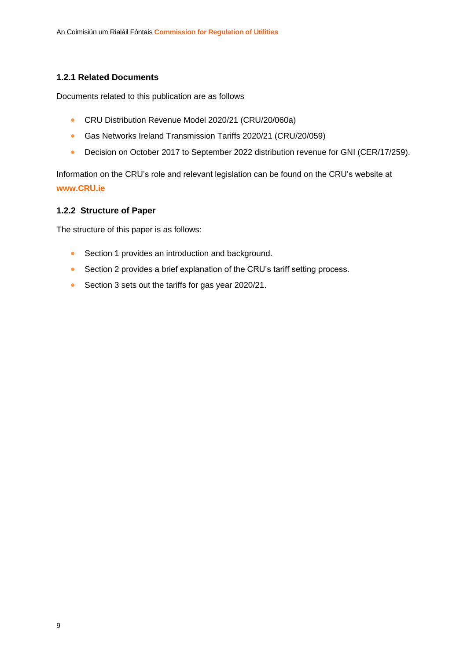#### <span id="page-9-0"></span>**1.2.1 Related Documents**

Documents related to this publication are as follows

- CRU Distribution Revenue Model 2020/21 (CRU/20/060a)
- Gas Networks Ireland Transmission Tariffs 2020/21 (CRU/20/059)
- Decision on October 2017 to September 2022 distribution revenue for GNI (CER/17/259).

Information on the CRU's role and relevant legislation can be found on the CRU's website at **www.CRU.ie**

#### <span id="page-9-1"></span>**1.2.2 Structure of Paper**

The structure of this paper is as follows:

- Section 1 provides an introduction and background.
- Section 2 provides a brief explanation of the CRU's tariff setting process.
- Section 3 sets out the tariffs for gas year 2020/21.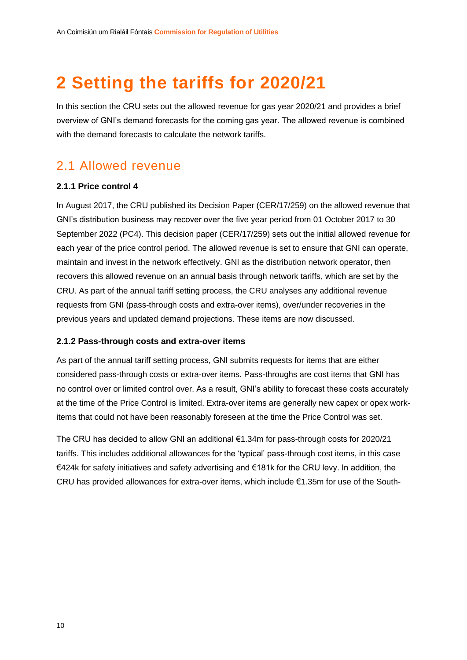# <span id="page-10-0"></span>**2 Setting the tariffs for 2020/21**

In this section the CRU sets out the allowed revenue for gas year 2020/21 and provides a brief overview of GNI's demand forecasts for the coming gas year. The allowed revenue is combined with the demand forecasts to calculate the network tariffs.

### <span id="page-10-1"></span>2.1 Allowed revenue

#### <span id="page-10-2"></span>**2.1.1 Price control 4**

In August 2017, the CRU published its Decision Paper (CER/17/259) on the allowed revenue that GNI's distribution business may recover over the five year period from 01 October 2017 to 30 September 2022 (PC4). This decision paper (CER/17/259) sets out the initial allowed revenue for each year of the price control period. The allowed revenue is set to ensure that GNI can operate, maintain and invest in the network effectively. GNI as the distribution network operator, then recovers this allowed revenue on an annual basis through network tariffs, which are set by the CRU. As part of the annual tariff setting process, the CRU analyses any additional revenue requests from GNI (pass-through costs and extra-over items), over/under recoveries in the previous years and updated demand projections. These items are now discussed.

#### <span id="page-10-3"></span>**2.1.2 Pass-through costs and extra-over items**

As part of the annual tariff setting process, GNI submits requests for items that are either considered pass-through costs or extra-over items. Pass-throughs are cost items that GNI has no control over or limited control over. As a result, GNI's ability to forecast these costs accurately at the time of the Price Control is limited. Extra-over items are generally new capex or opex workitems that could not have been reasonably foreseen at the time the Price Control was set.

The CRU has decided to allow GNI an additional €1.34m for pass-through costs for 2020/21 tariffs. This includes additional allowances for the 'typical' pass-through cost items, in this case €424k for safety initiatives and safety advertising and €181k for the CRU levy. In addition, the CRU has provided allowances for extra-over items, which include €1.35m for use of the South-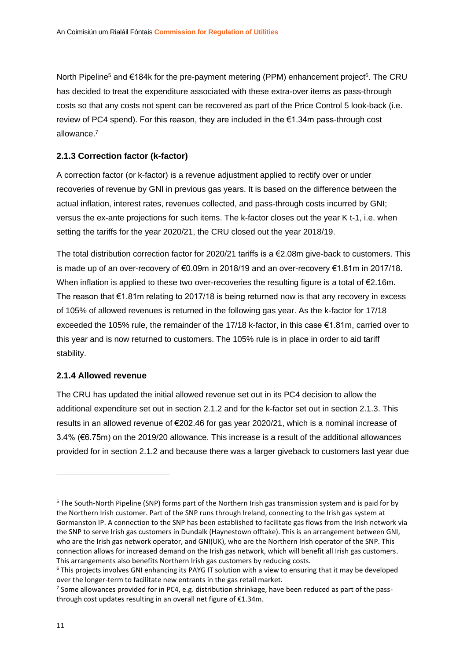North Pipeline<sup>5</sup> and €184k for the pre-payment metering (PPM) enhancement project<sup>6</sup>. The CRU has decided to treat the expenditure associated with these extra-over items as pass-through costs so that any costs not spent can be recovered as part of the Price Control 5 look-back (i.e. review of PC4 spend). For this reason, they are included in the €1.34m pass-through cost allowance.<sup>7</sup>

#### <span id="page-11-0"></span>**2.1.3 Correction factor (k-factor)**

A correction factor (or k-factor) is a revenue adjustment applied to rectify over or under recoveries of revenue by GNI in previous gas years. It is based on the difference between the actual inflation, interest rates, revenues collected, and pass-through costs incurred by GNI; versus the ex-ante projections for such items. The k-factor closes out the year K t-1, i.e. when setting the tariffs for the year 2020/21, the CRU closed out the year 2018/19.

The total distribution correction factor for 2020/21 tariffs is a €2.08m give-back to customers. This is made up of an over-recovery of €0.09m in 2018/19 and an over-recovery €1.81m in 2017/18. When inflation is applied to these two over-recoveries the resulting figure is a total of €2.16m. The reason that  $\epsilon$ 1.81m relating to 2017/18 is being returned now is that any recovery in excess of 105% of allowed revenues is returned in the following gas year. As the k-factor for 17/18 exceeded the 105% rule, the remainder of the 17/18 k-factor, in this case €1.81m, carried over to this year and is now returned to customers. The 105% rule is in place in order to aid tariff stability.

#### <span id="page-11-1"></span>**2.1.4 Allowed revenue**

The CRU has updated the initial allowed revenue set out in its PC4 decision to allow the additional expenditure set out in section [2.1.2](#page-10-3) and for the k-factor set out in section [2.1.3.](#page-11-0) This results in an allowed revenue of €202.46 for gas year 2020/21, which is a nominal increase of 3.4% (€6.75m) on the 2019/20 allowance. This increase is a result of the additional allowances provided for in section [2.1.2](#page-10-3) and because there was a larger giveback to customers last year due

<sup>5</sup> The South-North Pipeline (SNP) forms part of the Northern Irish gas transmission system and is paid for by the Northern Irish customer. Part of the SNP runs through Ireland, connecting to the Irish gas system at Gormanston IP. A connection to the SNP has been established to facilitate gas flows from the Irish network via the SNP to serve Irish gas customers in Dundalk (Haynestown offtake). This is an arrangement between GNI, who are the Irish gas network operator, and GNI(UK), who are the Northern Irish operator of the SNP. This connection allows for increased demand on the Irish gas network, which will benefit all Irish gas customers. This arrangements also benefits Northern Irish gas customers by reducing costs.

<sup>&</sup>lt;sup>6</sup> This projects involves GNI enhancing its PAYG IT solution with a view to ensuring that it may be developed over the longer-term to facilitate new entrants in the gas retail market.

<sup>&</sup>lt;sup>7</sup> Some allowances provided for in PC4, e.g. distribution shrinkage, have been reduced as part of the passthrough cost updates resulting in an overall net figure of €1.34m.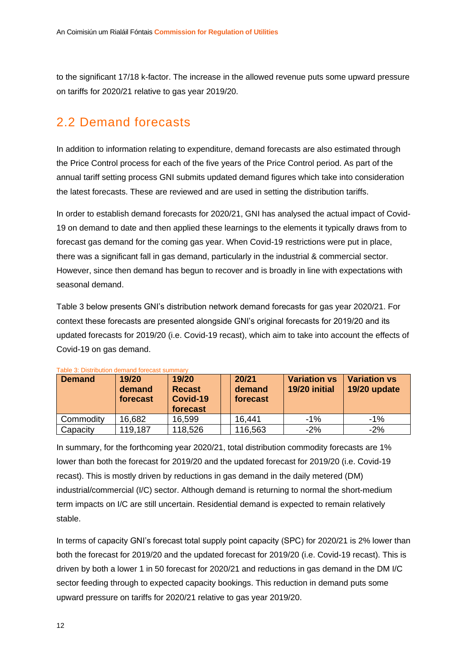to the significant 17/18 k-factor. The increase in the allowed revenue puts some upward pressure on tariffs for 2020/21 relative to gas year 2019/20.

### <span id="page-12-0"></span>2.2 Demand forecasts

In addition to information relating to expenditure, demand forecasts are also estimated through the Price Control process for each of the five years of the Price Control period. As part of the annual tariff setting process GNI submits updated demand figures which take into consideration the latest forecasts. These are reviewed and are used in setting the distribution tariffs.

In order to establish demand forecasts for 2020/21, GNI has analysed the actual impact of Covid-19 on demand to date and then applied these learnings to the elements it typically draws from to forecast gas demand for the coming gas year. When Covid-19 restrictions were put in place, there was a significant fall in gas demand, particularly in the industrial & commercial sector. However, since then demand has begun to recover and is broadly in line with expectations with seasonal demand.

[Table 3](#page-12-1) below presents GNI's distribution network demand forecasts for gas year 2020/21. For context these forecasts are presented alongside GNI's original forecasts for 2019/20 and its updated forecasts for 2019/20 (i.e. Covid-19 recast), which aim to take into account the effects of Covid-19 on gas demand.

| <b>Demand</b> | 19/20<br>demand<br>forecast | 19/20<br><b>Recast</b><br>Covid-19<br>forecast | 20/21<br>demand<br>forecast | <b>Variation vs</b><br>19/20 initial | <b>Variation vs</b><br>19/20 update |
|---------------|-----------------------------|------------------------------------------------|-----------------------------|--------------------------------------|-------------------------------------|
| Commodity     | 16,682                      | 16,599                                         | 16.441                      | $-1\%$                               | $-1\%$                              |
| Capacity      | 119,187                     | 118,526                                        | 116,563                     | $-2%$                                | $-2\%$                              |

<span id="page-12-1"></span>Table 3: Distribution demand forecast summary

In summary, for the forthcoming year 2020/21, total distribution commodity forecasts are 1% lower than both the forecast for 2019/20 and the updated forecast for 2019/20 (i.e. Covid-19 recast). This is mostly driven by reductions in gas demand in the daily metered (DM) industrial/commercial (I/C) sector. Although demand is returning to normal the short-medium term impacts on I/C are still uncertain. Residential demand is expected to remain relatively stable.

In terms of capacity GNI's forecast total supply point capacity (SPC) for 2020/21 is 2% lower than both the forecast for 2019/20 and the updated forecast for 2019/20 (i.e. Covid-19 recast). This is driven by both a lower 1 in 50 forecast for 2020/21 and reductions in gas demand in the DM I/C sector feeding through to expected capacity bookings. This reduction in demand puts some upward pressure on tariffs for 2020/21 relative to gas year 2019/20.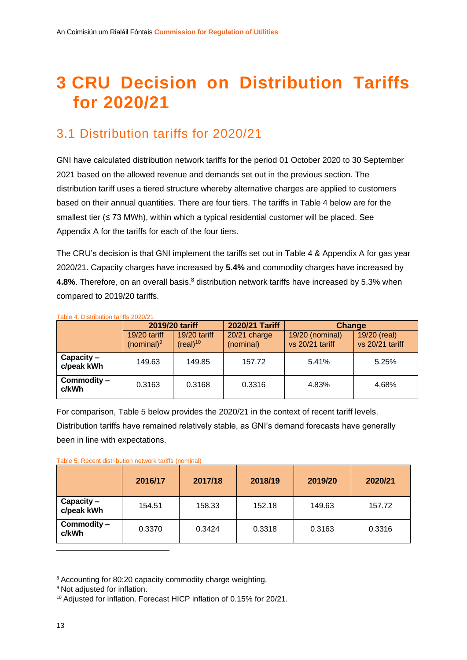# <span id="page-13-0"></span>**3 CRU Decision on Distribution Tariffs for 2020/21**

### <span id="page-13-1"></span>3.1 Distribution tariffs for 2020/21

GNI have calculated distribution network tariffs for the period 01 October 2020 to 30 September 2021 based on the allowed revenue and demands set out in the previous section. The distribution tariff uses a tiered structure whereby alternative charges are applied to customers based on their annual quantities. There are four tiers. The tariffs in [Table 4](#page-13-2) below are for the smallest tier (≤ 73 MWh), within which a typical residential customer will be placed. See Appendix A for the tariffs for each of the four tiers.

The CRU's decision is that GNI implement the tariffs set out in [Table 4](#page-13-2) & Appendix A for gas year 2020/21. Capacity charges have increased by **5.4%** and commodity charges have increased by **4.8%**. Therefore, on an overall basis,<sup>8</sup> distribution network tariffs have increased by 5.3% when compared to 2019/20 tariffs.

| Table 4. Distribution tanns 2020/21 |                                 |                                        |                           |                                    |                                 |  |  |  |  |
|-------------------------------------|---------------------------------|----------------------------------------|---------------------------|------------------------------------|---------------------------------|--|--|--|--|
|                                     |                                 | 2019/20 tariff                         | 2020/21 Tariff            | Change                             |                                 |  |  |  |  |
|                                     | $19/20$ tariff<br>(nominal) $9$ | $19/20$ tariff<br>(real) <sup>10</sup> | 20/21 charge<br>(nominal) | 19/20 (nominal)<br>vs 20/21 tariff | 19/20 (real)<br>vs 20/21 tariff |  |  |  |  |
| $Capacity -$<br>c/peak kWh          | 149.63                          | 149.85                                 | 157.72                    | 5.41%                              | 5.25%                           |  |  |  |  |
| Commodity -<br>c/kWh                | 0.3163                          | 0.3168                                 | 0.3316                    | 4.83%                              | 4.68%                           |  |  |  |  |

<span id="page-13-2"></span>Table 4: Distribution tariffs 2020/21

For comparison, [Table 5](#page-13-3) below provides the 2020/21 in the context of recent tariff levels.

Distribution tariffs have remained relatively stable, as GNI's demand forecasts have generally been in line with expectations.

<span id="page-13-3"></span>

|  | Table 5: Recent distribution network tariffs (nominal) |  |  |
|--|--------------------------------------------------------|--|--|

|                          | 2016/17 | 2017/18 | 2018/19 | 2019/20 | 2020/21 |
|--------------------------|---------|---------|---------|---------|---------|
| Capacity -<br>c/peak kWh | 154.51  | 158.33  | 152.18  | 149.63  | 157.72  |
| Commodity -<br>c/kWh     | 0.3370  | 0.3424  | 0.3318  | 0.3163  | 0.3316  |

<sup>8</sup> Accounting for 80:20 capacity commodity charge weighting.

<sup>&</sup>lt;sup>9</sup> Not adjusted for inflation.

<sup>&</sup>lt;sup>10</sup> Adjusted for inflation. Forecast HICP inflation of 0.15% for 20/21.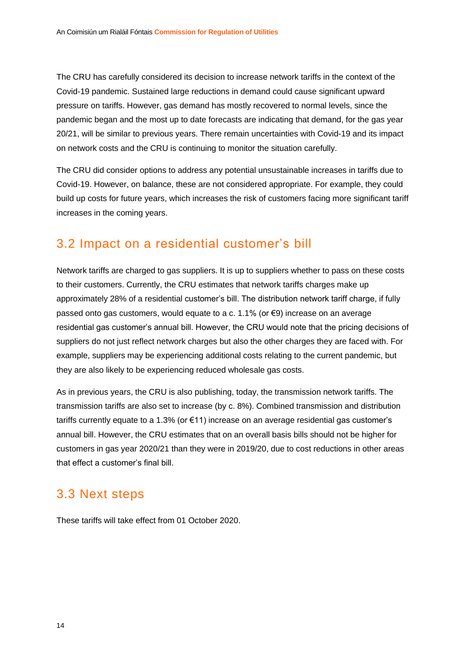The CRU has carefully considered its decision to increase network tariffs in the context of the Covid-19 pandemic. Sustained large reductions in demand could cause significant upward pressure on tariffs. However, gas demand has mostly recovered to normal levels, since the pandemic began and the most up to date forecasts are indicating that demand, for the gas year 20/21, will be similar to previous years. There remain uncertainties with Covid-19 and its impact on network costs and the CRU is continuing to monitor the situation carefully.

The CRU did consider options to address any potential unsustainable increases in tariffs due to Covid-19. However, on balance, these are not considered appropriate. For example, they could build up costs for future years, which increases the risk of customers facing more significant tariff increases in the coming years.

### <span id="page-14-0"></span>3.2 Impact on a residential customer's bill

Network tariffs are charged to gas suppliers. It is up to suppliers whether to pass on these costs to their customers. Currently, the CRU estimates that network tariffs charges make up approximately 28% of a residential customer's bill. The distribution network tariff charge, if fully passed onto gas customers, would equate to a c. 1.1% (or €9) increase on an average residential gas customer's annual bill. However, the CRU would note that the pricing decisions of suppliers do not just reflect network charges but also the other charges they are faced with. For example, suppliers may be experiencing additional costs relating to the current pandemic, but they are also likely to be experiencing reduced wholesale gas costs.

As in previous years, the CRU is also publishing, today, the transmission network tariffs. The transmission tariffs are also set to increase (by c. 8%). Combined transmission and distribution tariffs currently equate to a 1.3% (or €11) increase on an average residential gas customer's annual bill. However, the CRU estimates that on an overall basis bills should not be higher for customers in gas year 2020/21 than they were in 2019/20, due to cost reductions in other areas that effect a customer's final bill.

### <span id="page-14-1"></span>3.3 Next steps

These tariffs will take effect from 01 October 2020.